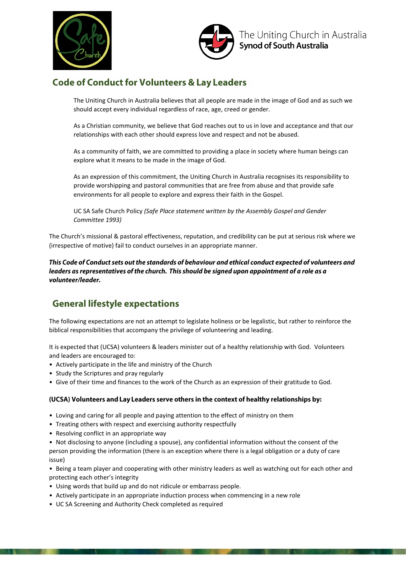



# **Code of Conduct for Volunteers & Lay Leaders**

The Uniting Church in Australia believes that all people are made in the image of God and as such we should accept every individual regardless of race, age, creed or gender.

As a Christian community, we believe that God reaches out to us in love and acceptance and that our relationships with each other should express love and respect and not be abused.

As a community of faith, we are committed to providing a place in society where human beings can explore what it means to be made in the image of God.

As an expression of this commitment, the Uniting Church in Australia recognises its responsibility to provide worshipping and pastoral communities that are free from abuse and that provide safe environments for all people to explore and express their faith in the Gospel.

UC SA Safe Church Policy *(Safe Place statement written by the Assembly Gospel and Gender Committee 1993)*

The Church's missional & pastoral effectiveness, reputation, and credibility can be put at serious risk where we (irrespective of motive) fail to conduct ourselves in an appropriate manner.

This Code of Conduct sets out the standards of behaviour and ethical conduct expected of volunteers and leaders as representatives of the church. This should be signed upon appointment of a role as a volunteer/leader.

## **General lifestyle expectations**

The following expectations are not an attempt to legislate holiness or be legalistic, but rather to reinforce the biblical responsibilities that accompany the privilege of volunteering and leading.

It is expected that (UCSA) volunteers & leaders minister out of a healthy relationship with God. Volunteers and leaders are encouraged to:

- Actively participate in the life and ministry of the Church
- Study the Scriptures and pray regularly
- Give of their time and finances to the work of the Church as an expression of their gratitude to God.

#### (UCSA) Volunteers and Lay Leaders serve others in the context of healthy relationships by:

- Loving and caring for all people and paying attention to the effect of ministry on them
- Treating others with respect and exercising authority respectfully
- Resolving conflict in an appropriate way
- Not disclosing to anyone (including a spouse), any confidential information without the consent of the person providing the information (there is an exception where there is a legal obligation or a duty of care issue)

• Being a team player and cooperating with other ministry leaders as well as watching out for each other and protecting each other's integrity

- Using words that build up and do not ridicule or embarrass people.
- Actively participate in an appropriate induction process when commencing in a new role
- UC SA Screening and Authority Check completed as required